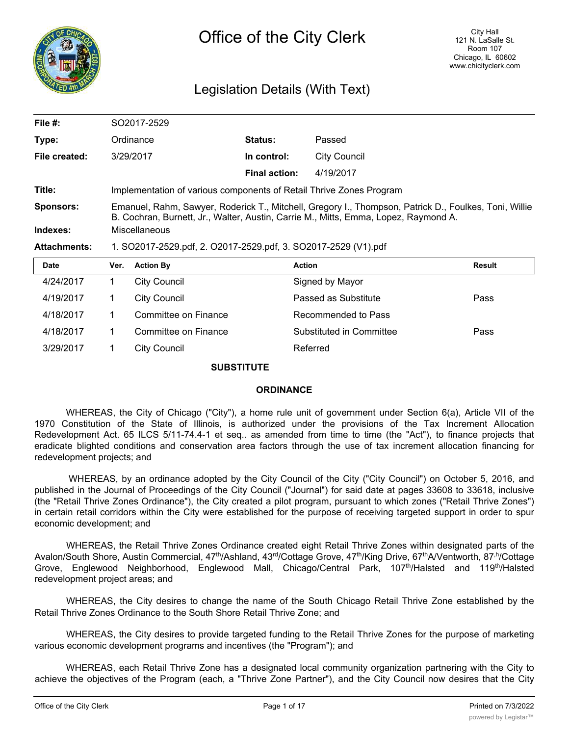

## Legislation Details (With Text)

| File $#$ :          | SO2017-2529                                                                                                                                                                                  |                                                                |                     |               |  |  |  |
|---------------------|----------------------------------------------------------------------------------------------------------------------------------------------------------------------------------------------|----------------------------------------------------------------|---------------------|---------------|--|--|--|
| Type:               | Ordinance                                                                                                                                                                                    | <b>Status:</b>                                                 | Passed              |               |  |  |  |
| File created:       | 3/29/2017                                                                                                                                                                                    | In control:                                                    | <b>City Council</b> |               |  |  |  |
|                     |                                                                                                                                                                                              | <b>Final action:</b>                                           | 4/19/2017           |               |  |  |  |
| Title:              | Implementation of various components of Retail Thrive Zones Program                                                                                                                          |                                                                |                     |               |  |  |  |
| <b>Sponsors:</b>    | Emanuel, Rahm, Sawyer, Roderick T., Mitchell, Gregory I., Thompson, Patrick D., Foulkes, Toni, Willie<br>B. Cochran, Burnett, Jr., Walter, Austin, Carrie M., Mitts, Emma, Lopez, Raymond A. |                                                                |                     |               |  |  |  |
| Indexes:            | Miscellaneous                                                                                                                                                                                |                                                                |                     |               |  |  |  |
| <b>Attachments:</b> |                                                                                                                                                                                              | 1. SO2017-2529.pdf, 2. O2017-2529.pdf, 3. SO2017-2529 (V1).pdf |                     |               |  |  |  |
| <b>Date</b>         | <b>Action By</b><br>Ver.                                                                                                                                                                     | <b>Action</b>                                                  |                     | <b>Result</b> |  |  |  |

| Date      | ver. | <b>ACtion By</b>     | <b>Action</b>            | Result |
|-----------|------|----------------------|--------------------------|--------|
| 4/24/2017 |      | <b>City Council</b>  | Signed by Mayor          |        |
| 4/19/2017 |      | City Council         | Passed as Substitute     | Pass   |
| 4/18/2017 |      | Committee on Finance | Recommended to Pass      |        |
| 4/18/2017 |      | Committee on Finance | Substituted in Committee | Pass   |
| 3/29/2017 |      | City Council         | Referred                 |        |
|           |      |                      |                          |        |

### **SUBSTITUTE**

### **ORDINANCE**

WHEREAS, the City of Chicago ("City"), a home rule unit of government under Section 6(a), Article VII of the 1970 Constitution of the State of Illinois, is authorized under the provisions of the Tax Increment Allocation Redevelopment Act. 65 ILCS 5/11-74.4-1 et seq.. as amended from time to time (the "Act"), to finance projects that eradicate blighted conditions and conservation area factors through the use of tax increment allocation financing for redevelopment projects; and

WHEREAS, by an ordinance adopted by the City Council of the City ("City Council") on October 5, 2016, and published in the Journal of Proceedings of the City Council ("Journal") for said date at pages 33608 to 33618, inclusive (the "Retail Thrive Zones Ordinance"), the City created a pilot program, pursuant to which zones ("Retail Thrive Zones") in certain retail corridors within the City were established for the purpose of receiving targeted support in order to spur economic development; and

WHEREAS, the Retail Thrive Zones Ordinance created eight Retail Thrive Zones within designated parts of the Avalon/South Shore, Austin Commercial, 47<sup>th</sup>/Ashland, 43<sup>rd</sup>/Cottage Grove, 47<sup>th</sup>/King Drive, 67<sup>th</sup>A/Ventworth, 87<sup>,h</sup>/Cottage Grove, Englewood Neighborhood, Englewood Mall, Chicago/Central Park, 107<sup>th</sup>/Halsted and 119<sup>th</sup>/Halsted redevelopment project areas; and

WHEREAS, the City desires to change the name of the South Chicago Retail Thrive Zone established by the Retail Thrive Zones Ordinance to the South Shore Retail Thrive Zone; and

WHEREAS, the City desires to provide targeted funding to the Retail Thrive Zones for the purpose of marketing various economic development programs and incentives (the "Program"); and

WHEREAS, each Retail Thrive Zone has a designated local community organization partnering with the City to achieve the objectives of the Program (each, a "Thrive Zone Partner"), and the City Council now desires that the City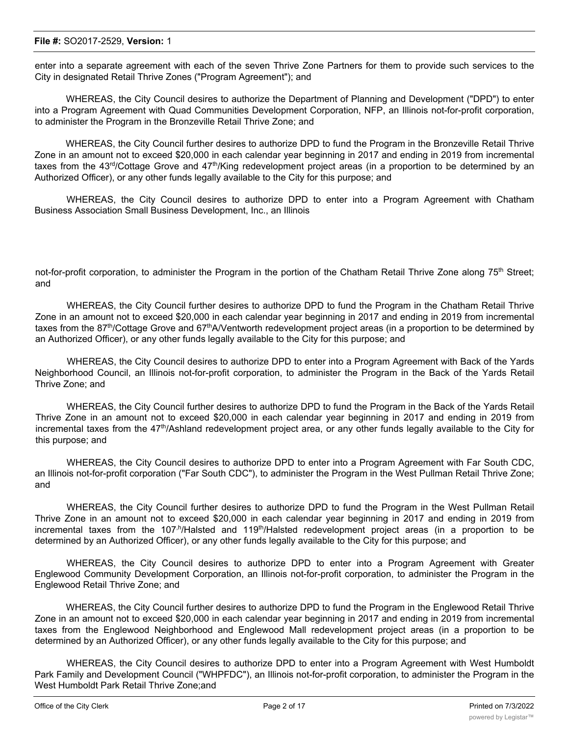enter into a separate agreement with each of the seven Thrive Zone Partners for them to provide such services to the City in designated Retail Thrive Zones ("Program Agreement"); and

WHEREAS, the City Council desires to authorize the Department of Planning and Development ("DPD") to enter into a Program Agreement with Quad Communities Development Corporation, NFP, an Illinois not-for-profit corporation, to administer the Program in the Bronzeville Retail Thrive Zone; and

WHEREAS, the City Council further desires to authorize DPD to fund the Program in the Bronzeville Retail Thrive Zone in an amount not to exceed \$20,000 in each calendar year beginning in 2017 and ending in 2019 from incremental taxes from the 43<sup>rd</sup>/Cottage Grove and 47<sup>th</sup>/King redevelopment project areas (in a proportion to be determined by an Authorized Officer), or any other funds legally available to the City for this purpose; and

WHEREAS, the City Council desires to authorize DPD to enter into a Program Agreement with Chatham Business Association Small Business Development, Inc., an Illinois

not-for-profit corporation, to administer the Program in the portion of the Chatham Retail Thrive Zone along  $75<sup>th</sup>$  Street; and

WHEREAS, the City Council further desires to authorize DPD to fund the Program in the Chatham Retail Thrive Zone in an amount not to exceed \$20,000 in each calendar year beginning in 2017 and ending in 2019 from incremental taxes from the 87<sup>th</sup>/Cottage Grove and 67<sup>th</sup>A/Ventworth redevelopment project areas (in a proportion to be determined by an Authorized Officer), or any other funds legally available to the City for this purpose; and

WHEREAS, the City Council desires to authorize DPD to enter into a Program Agreement with Back of the Yards Neighborhood Council, an Illinois not-for-profit corporation, to administer the Program in the Back of the Yards Retail Thrive Zone; and

WHEREAS, the City Council further desires to authorize DPD to fund the Program in the Back of the Yards Retail Thrive Zone in an amount not to exceed \$20,000 in each calendar year beginning in 2017 and ending in 2019 from incremental taxes from the 47<sup>th</sup>/Ashland redevelopment project area, or any other funds legally available to the City for this purpose; and

WHEREAS, the City Council desires to authorize DPD to enter into a Program Agreement with Far South CDC, an Illinois not-for-profit corporation ("Far South CDC"), to administer the Program in the West Pullman Retail Thrive Zone; and

WHEREAS, the City Council further desires to authorize DPD to fund the Program in the West Pullman Retail Thrive Zone in an amount not to exceed \$20,000 in each calendar year beginning in 2017 and ending in 2019 from incremental taxes from the 107<sup>,h</sup>/Halsted and 119<sup>th</sup>/Halsted redevelopment project areas (in a proportion to be determined by an Authorized Officer), or any other funds legally available to the City for this purpose; and

WHEREAS, the City Council desires to authorize DPD to enter into a Program Agreement with Greater Englewood Community Development Corporation, an Illinois not-for-profit corporation, to administer the Program in the Englewood Retail Thrive Zone; and

WHEREAS, the City Council further desires to authorize DPD to fund the Program in the Englewood Retail Thrive Zone in an amount not to exceed \$20,000 in each calendar year beginning in 2017 and ending in 2019 from incremental taxes from the Englewood Neighborhood and Englewood Mall redevelopment project areas (in a proportion to be determined by an Authorized Officer), or any other funds legally available to the City for this purpose; and

WHEREAS, the City Council desires to authorize DPD to enter into a Program Agreement with West Humboldt Park Family and Development Council ("WHPFDC"), an Illinois not-for-profit corporation, to administer the Program in the West Humboldt Park Retail Thrive Zone;and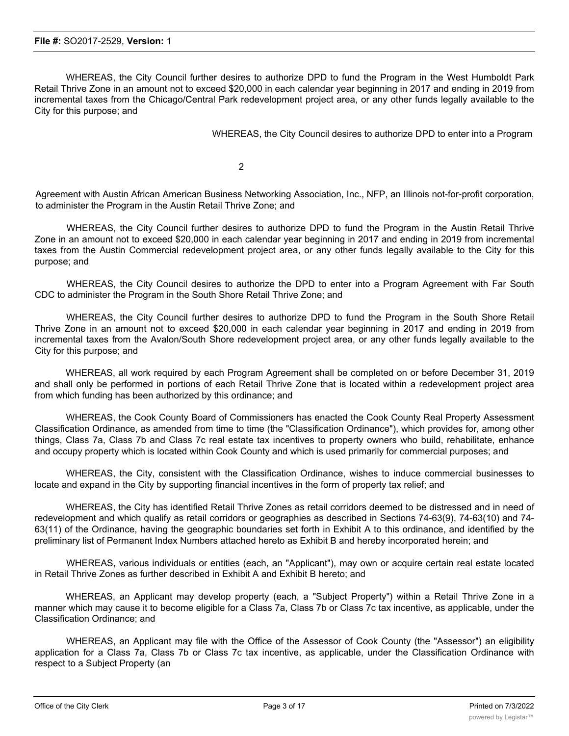WHEREAS, the City Council further desires to authorize DPD to fund the Program in the West Humboldt Park Retail Thrive Zone in an amount not to exceed \$20,000 in each calendar year beginning in 2017 and ending in 2019 from incremental taxes from the Chicago/Central Park redevelopment project area, or any other funds legally available to the City for this purpose; and

WHEREAS, the City Council desires to authorize DPD to enter into a Program

2

Agreement with Austin African American Business Networking Association, Inc., NFP, an Illinois not-for-profit corporation, to administer the Program in the Austin Retail Thrive Zone; and

WHEREAS, the City Council further desires to authorize DPD to fund the Program in the Austin Retail Thrive Zone in an amount not to exceed \$20,000 in each calendar year beginning in 2017 and ending in 2019 from incremental taxes from the Austin Commercial redevelopment project area, or any other funds legally available to the City for this purpose; and

WHEREAS, the City Council desires to authorize the DPD to enter into a Program Agreement with Far South CDC to administer the Program in the South Shore Retail Thrive Zone; and

WHEREAS, the City Council further desires to authorize DPD to fund the Program in the South Shore Retail Thrive Zone in an amount not to exceed \$20,000 in each calendar year beginning in 2017 and ending in 2019 from incremental taxes from the Avalon/South Shore redevelopment project area, or any other funds legally available to the City for this purpose; and

WHEREAS, all work required by each Program Agreement shall be completed on or before December 31, 2019 and shall only be performed in portions of each Retail Thrive Zone that is located within a redevelopment project area from which funding has been authorized by this ordinance; and

WHEREAS, the Cook County Board of Commissioners has enacted the Cook County Real Property Assessment Classification Ordinance, as amended from time to time (the "Classification Ordinance"), which provides for, among other things, Class 7a, Class 7b and Class 7c real estate tax incentives to property owners who build, rehabilitate, enhance and occupy property which is located within Cook County and which is used primarily for commercial purposes; and

WHEREAS, the City, consistent with the Classification Ordinance, wishes to induce commercial businesses to locate and expand in the City by supporting financial incentives in the form of property tax relief; and

WHEREAS, the City has identified Retail Thrive Zones as retail corridors deemed to be distressed and in need of redevelopment and which qualify as retail corridors or geographies as described in Sections 74-63(9), 74-63(10) and 74- 63(11) of the Ordinance, having the geographic boundaries set forth in Exhibit A to this ordinance, and identified by the preliminary list of Permanent Index Numbers attached hereto as Exhibit B and hereby incorporated herein; and

WHEREAS, various individuals or entities (each, an "Applicant"), may own or acquire certain real estate located in Retail Thrive Zones as further described in Exhibit A and Exhibit B hereto; and

WHEREAS, an Applicant may develop property (each, a "Subject Property") within a Retail Thrive Zone in a manner which may cause it to become eligible for a Class 7a, Class 7b or Class 7c tax incentive, as applicable, under the Classification Ordinance; and

WHEREAS, an Applicant may file with the Office of the Assessor of Cook County (the "Assessor") an eligibility application for a Class 7a, Class 7b or Class 7c tax incentive, as applicable, under the Classification Ordinance with respect to a Subject Property (an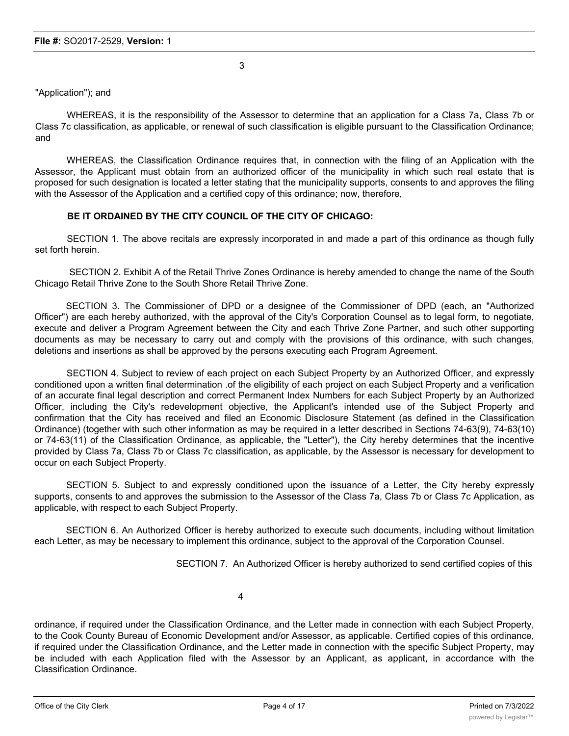3

### "Application"); and

WHEREAS, it is the responsibility of the Assessor to determine that an application for a Class 7a, Class 7b or Class 7c classification, as applicable, or renewal of such classification is eligible pursuant to the Classification Ordinance; and

WHEREAS, the Classification Ordinance requires that, in connection with the filing of an Application with the Assessor, the Applicant must obtain from an authorized officer of the municipality in which such real estate that is proposed for such designation is located a letter stating that the municipality supports, consents to and approves the filing with the Assessor of the Application and a certified copy of this ordinance; now, therefore,

### **BE IT ORDAINED BY THE CITY COUNCIL OF THE CITY OF CHICAGO:**

SECTION 1. The above recitals are expressly incorporated in and made a part of this ordinance as though fully set forth herein.

SECTION 2. Exhibit A of the Retail Thrive Zones Ordinance is hereby amended to change the name of the South Chicago Retail Thrive Zone to the South Shore Retail Thrive Zone.

SECTION 3. The Commissioner of DPD or a designee of the Commissioner of DPD (each, an "Authorized Officer") are each hereby authorized, with the approval of the City's Corporation Counsel as to legal form, to negotiate, execute and deliver a Program Agreement between the City and each Thrive Zone Partner, and such other supporting documents as may be necessary to carry out and comply with the provisions of this ordinance, with such changes, deletions and insertions as shall be approved by the persons executing each Program Agreement.

SECTION 4. Subject to review of each project on each Subject Property by an Authorized Officer, and expressly conditioned upon a written final determination .of the eligibility of each project on each Subject Property and a verification of an accurate final legal description and correct Permanent Index Numbers for each Subject Property by an Authorized Officer, including the City's redevelopment objective, the Applicant's intended use of the Subject Property and confirmation that the City has received and filed an Economic Disclosure Statement (as defined in the Classification Ordinance) (together with such other information as may be required in a letter described in Sections 74-63(9), 74-63(10) or 74-63(11) of the Classification Ordinance, as applicable, the "Letter"), the City hereby determines that the incentive provided by Class 7a, Class 7b or Class 7c classification, as applicable, by the Assessor is necessary for development to occur on each Subject Property.

SECTION 5. Subject to and expressly conditioned upon the issuance of a Letter, the City hereby expressly supports, consents to and approves the submission to the Assessor of the Class 7a, Class 7b or Class 7c Application, as applicable, with respect to each Subject Property.

SECTION 6. An Authorized Officer is hereby authorized to execute such documents, including without limitation each Letter, as may be necessary to implement this ordinance, subject to the approval of the Corporation Counsel.

SECTION 7. An Authorized Officer is hereby authorized to send certified copies of this

4

ordinance, if required under the Classification Ordinance, and the Letter made in connection with each Subject Property, to the Cook County Bureau of Economic Development and/or Assessor, as applicable. Certified copies of this ordinance, if required under the Classification Ordinance, and the Letter made in connection with the specific Subject Property, may be included with each Application filed with the Assessor by an Applicant, as applicant, in accordance with the Classification Ordinance.

SECTION 8. To the extent that any ordinance, resolution, rule, order or provision of the Municipal Code, or part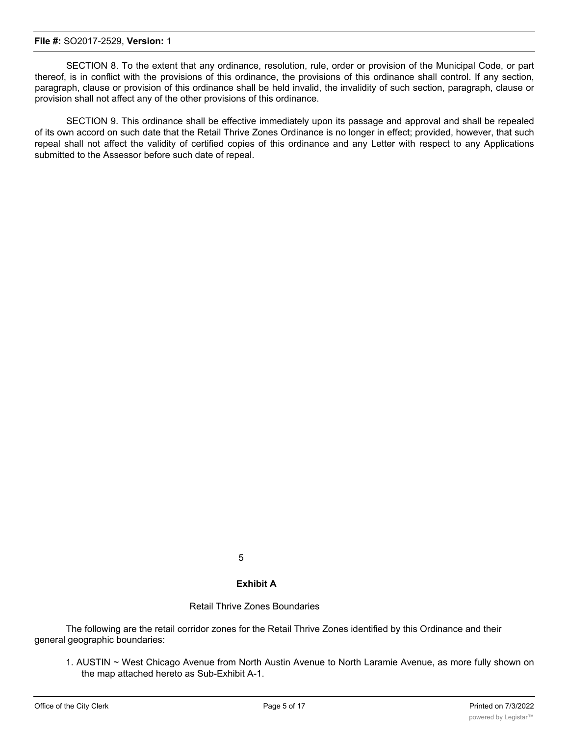SECTION 8. To the extent that any ordinance, resolution, rule, order or provision of the Municipal Code, or part thereof, is in conflict with the provisions of this ordinance, the provisions of this ordinance shall control. If any section, paragraph, clause or provision of this ordinance shall be held invalid, the invalidity of such section, paragraph, clause or provision shall not affect any of the other provisions of this ordinance.

SECTION 9. This ordinance shall be effective immediately upon its passage and approval and shall be repealed of its own accord on such date that the Retail Thrive Zones Ordinance is no longer in effect; provided, however, that such repeal shall not affect the validity of certified copies of this ordinance and any Letter with respect to any Applications submitted to the Assessor before such date of repeal.

5

### **Exhibit A**

### Retail Thrive Zones Boundaries

The following are the retail corridor zones for the Retail Thrive Zones identified by this Ordinance and their general geographic boundaries:

1. AUSTIN ~ West Chicago Avenue from North Austin Avenue to North Laramie Avenue, as more fully shown on the map attached hereto as Sub-Exhibit A-1.

2. BACK OF THE YARDS - West 47th Street from South Damen Avenue to South Loomis Boulevard and South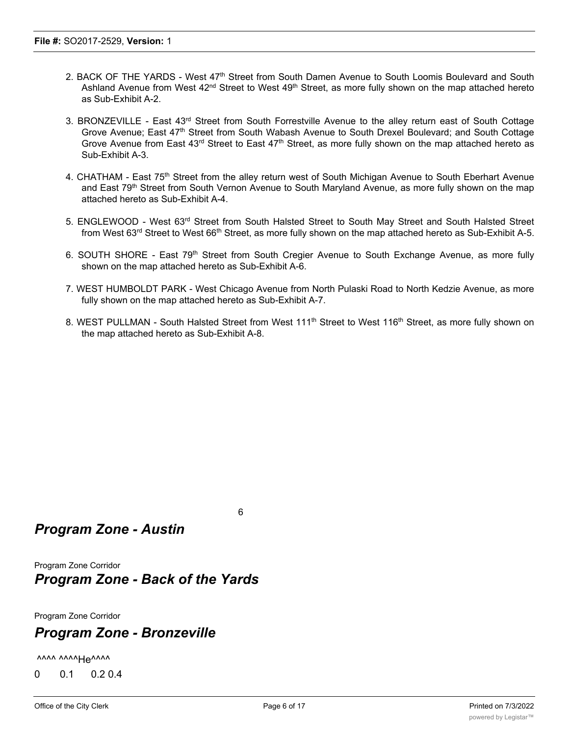- 2. BACK OF THE YARDS West 47<sup>th</sup> Street from South Damen Avenue to South Loomis Boulevard and South Ashland Avenue from West 42<sup>nd</sup> Street to West 49<sup>th</sup> Street, as more fully shown on the map attached hereto as Sub-Exhibit A-2.
- 3. BRONZEVILLE East 43rd Street from South Forrestville Avenue to the alley return east of South Cottage Grove Avenue; East 47<sup>th</sup> Street from South Wabash Avenue to South Drexel Boulevard; and South Cottage Grove Avenue from East 43<sup>rd</sup> Street to East 47<sup>th</sup> Street, as more fully shown on the map attached hereto as Sub-Exhibit A-3.
- 4. CHATHAM East 75<sup>th</sup> Street from the alley return west of South Michigan Avenue to South Eberhart Avenue and East 79<sup>th</sup> Street from South Vernon Avenue to South Maryland Avenue, as more fully shown on the map attached hereto as Sub-Exhibit A-4.
- 5. ENGLEWOOD West 63<sup>rd</sup> Street from South Halsted Street to South May Street and South Halsted Street from West 63<sup>rd</sup> Street to West 66<sup>th</sup> Street, as more fully shown on the map attached hereto as Sub-Exhibit A-5.
- 6. SOUTH SHORE East 79<sup>th</sup> Street from South Cregier Avenue to South Exchange Avenue, as more fully shown on the map attached hereto as Sub-Exhibit A-6.
- 7. WEST HUMBOLDT PARK West Chicago Avenue from North Pulaski Road to North Kedzie Avenue, as more fully shown on the map attached hereto as Sub-Exhibit A-7.
- 8. WEST PULLMAN South Halsted Street from West 111<sup>th</sup> Street to West 116<sup>th</sup> Street, as more fully shown on the map attached hereto as Sub-Exhibit A-8.

## *Program Zone - Austin*

Program Zone Corridor *Program Zone - Back of the Yards*

Program Zone Corridor

# *Program Zone - Bronzeville*

vvvv vvvvHevvvv

0 0.1 0.2 0.4

6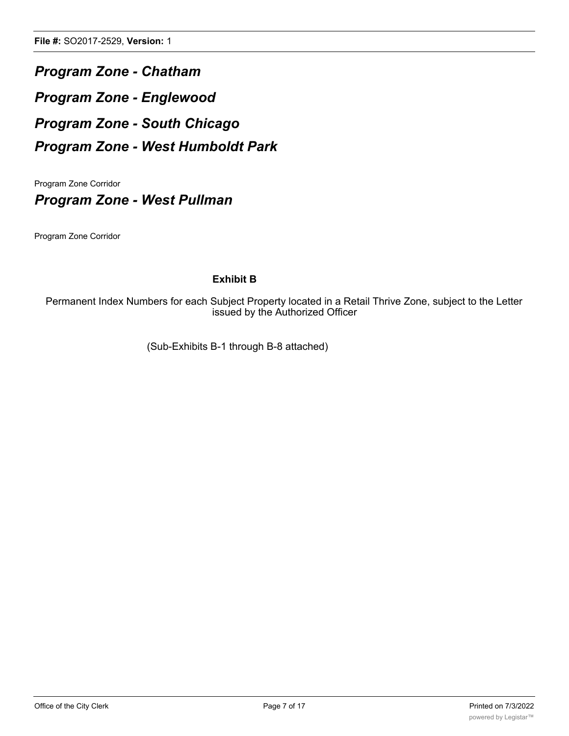*Program Zone - Chatham Program Zone - Englewood Program Zone - South Chicago Program Zone - West Humboldt Park*

Program Zone Corridor

*Program Zone - West Pullman*

Program Zone Corridor

### **Exhibit B**

Permanent Index Numbers for each Subject Property located in a Retail Thrive Zone, subject to the Letter issued by the Authorized Officer

(Sub-Exhibits B-1 through B-8 attached)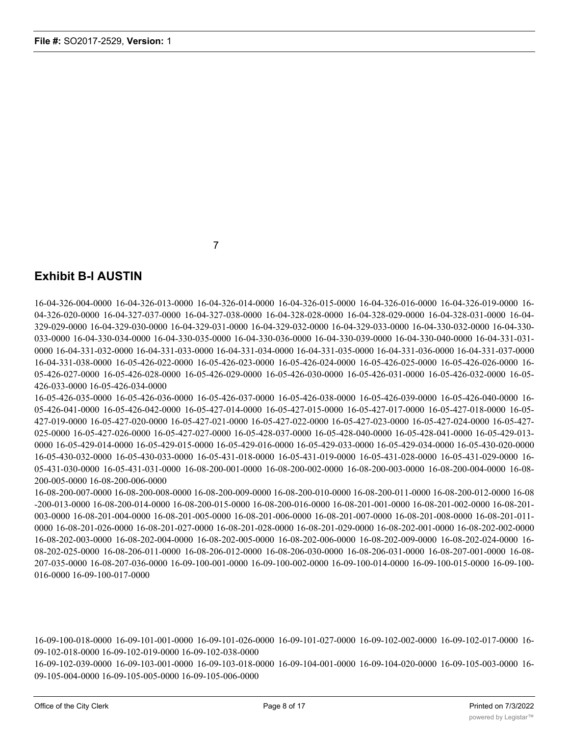7

## **Exhibit B-l AUSTIN**

16-04-326-004-0000 16-04-326-013-0000 16-04-326-014-0000 16-04-326-015-0000 16-04-326-016-0000 16-04-326-019-0000 16- 04-326-020-0000 16-04-327-037-0000 16-04-327-038-0000 16-04-328-028-0000 16-04-328-029-0000 16-04-328-031-0000 16-04- 329-029-0000 16-04-329-030-0000 16-04-329-031-0000 16-04-329-032-0000 16-04-329-033-0000 16-04-330-032-0000 16-04-330- 033-0000 16-04-330-034-0000 16-04-330-035-0000 16-04-330-036-0000 16-04-330-039-0000 16-04-330-040-0000 16-04-331-031- 0000 16-04-331-032-0000 16-04-331-033-0000 16-04-331-034-0000 16-04-331-035-0000 16-04-331-036-0000 16-04-331-037-0000 16-04-331-038-0000 16-05-426-022-0000 16-05-426-023-0000 16-05-426-024-0000 16-05-426-025-0000 16-05-426-026-0000 16- 05-426-027-0000 16-05-426-028-0000 16-05-426-029-0000 16-05-426-030-0000 16-05-426-031-0000 16-05-426-032-0000 16-05- 426-033-0000 16-05-426-034-0000

16-05-426-035-0000 16-05-426-036-0000 16-05-426-037-0000 16-05-426-038-0000 16-05-426-039-0000 16-05-426-040-0000 16- 05-426-041-0000 16-05-426-042-0000 16-05-427-014-0000 16-05-427-015-0000 16-05-427-017-0000 16-05-427-018-0000 16-05- 427-019-0000 16-05-427-020-0000 16-05-427-021-0000 16-05-427-022-0000 16-05-427-023-0000 16-05-427-024-0000 16-05-427- 025-0000 16-05-427-026-0000 16-05-427-027-0000 16-05-428-037-0000 16-05-428-040-0000 16-05-428-041-0000 16-05-429-013- 0000 16-05-429-014-0000 16-05-429-015-0000 16-05-429-016-0000 16-05-429-033-0000 16-05-429-034-0000 16-05-430-020-0000 16-05-430-032-0000 16-05-430-033-0000 16-05-431-018-0000 16-05-431-019-0000 16-05-431-028-0000 16-05-431-029-0000 16- 05-431-030-0000 16-05-431-031-0000 16-08-200-001-0000 16-08-200-002-0000 16-08-200-003-0000 16-08-200-004-0000 16-08- 200-005-0000 16-08-200-006-0000

16-08-200-007-0000 16-08-200-008-0000 16-08-200-009-0000 16-08-200-010-0000 16-08-200-011-0000 16-08-200-012-0000 16-08 -200-013-0000 16-08-200-014-0000 16-08-200-015-0000 16-08-200-016-0000 16-08-201-001-0000 16-08-201-002-0000 16-08-201- 003-0000 16-08-201-004-0000 16-08-201-005-0000 16-08-201-006-0000 16-08-201-007-0000 16-08-201-008-0000 16-08-201-011- 0000 16-08-201-026-0000 16-08-201-027-0000 16-08-201-028-0000 16-08-201-029-0000 16-08-202-001-0000 16-08-202-002-0000 16-08-202-003-0000 16-08-202-004-0000 16-08-202-005-0000 16-08-202-006-0000 16-08-202-009-0000 16-08-202-024-0000 16- 08-202-025-0000 16-08-206-011-0000 16-08-206-012-0000 16-08-206-030-0000 16-08-206-031-0000 16-08-207-001-0000 16-08- 207-035-0000 16-08-207-036-0000 16-09-100-001-0000 16-09-100-002-0000 16-09-100-014-0000 16-09-100-015-0000 16-09-100- 016-0000 16-09-100-017-0000

16-09-100-018-0000 16-09-101-001-0000 16-09-101-026-0000 16-09-101-027-0000 16-09-102-002-0000 16-09-102-017-0000 16- 09-102-018-0000 16-09-102-019-0000 16-09-102-038-0000

16-09-102-039-0000 16-09-103-001-0000 16-09-103-018-0000 16-09-104-001-0000 16-09-104-020-0000 16-09-105-003-0000 16- 09-105-004-0000 16-09-105-005-0000 16-09-105-006-0000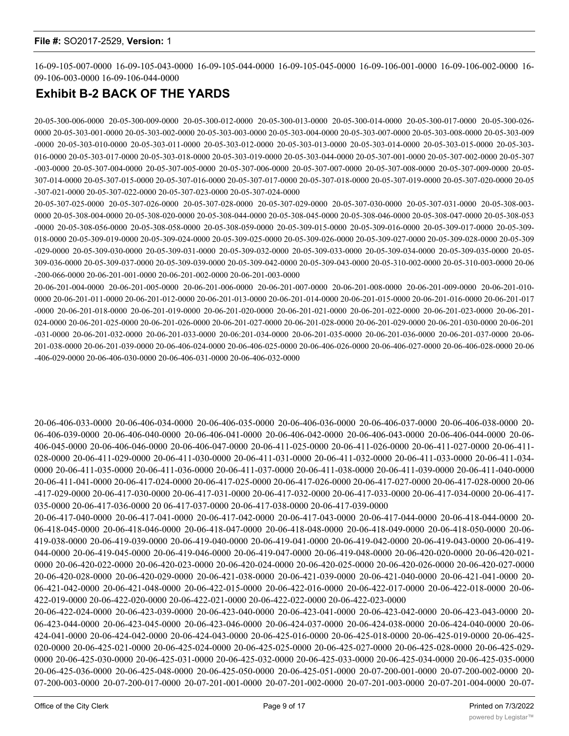16-09-105-007-0000 16-09-105-043-0000 16-09-105-044-0000 16-09-105-045-0000 16-09-106-001-0000 16-09-106-002-0000 16- 09-106-003-0000 16-09-106-044-0000

## **Exhibit B-2 BACK OF THE YARDS**

20-05-300-006-0000 20-05-300-009-0000 20-05-300-012-0000 20-05-300-013-0000 20-05-300-014-0000 20-05-300-017-0000 20-05-300-026- 0000 20-05-303-001-0000 20-05-303-002-0000 20-05-303-003-0000 20-05-303-004-0000 20-05-303-007-0000 20-05-303-008-0000 20-05-303-009 -0000 20-05-303-010-0000 20-05-303-011-0000 20-05-303-012-0000 20-05-303-013-0000 20-05-303-014-0000 20-05-303-015-0000 20-05-303- 016-0000 20-05-303-017-0000 20-05-303-018-0000 20-05-303-019-0000 20-05-303-044-0000 20-05-307-001-0000 20-05-307-002-0000 20-05-307 -003-0000 20-05-307-004-0000 20-05-307-005-0000 20-05-307-006-0000 20-05-307-007-0000 20-05-307-008-0000 20-05-307-009-0000 20-05- 307-014-0000 20-05-307-015-0000 20-05-307-016-0000 20-05-307-017-0000 20-05-307-018-0000 20-05-307-019-0000 20-05-307-020-0000 20-05 -307-021-0000 20-05-307-022-0000 20-05-307-023-0000 20-05-307-024-0000

20-05-307-025-0000 20-05-307-026-0000 20-05-307-028-0000 20-05-307-029-0000 20-05-307-030-0000 20-05-307-031-0000 20-05-308-003- 0000 20-05-308-004-0000 20-05-308-020-0000 20-05-308-044-0000 20-05-308-045-0000 20-05-308-046-0000 20-05-308-047-0000 20-05-308-053 -0000 20-05-308-056-0000 20-05-308-058-0000 20-05-308-059-0000 20-05-309-015-0000 20-05-309-016-0000 20-05-309-017-0000 20-05-309- 018-0000 20-05-309-019-0000 20-05-309-024-0000 20-05-309-025-0000 20-05-309-026-0000 20-05-309-027-0000 20-05-309-028-0000 20-05-309 -029-0000 20-05-309-030-0000 20-05-309-031-0000 20-05-309-032-0000 20-05-309-033-0000 20-05-309-034-0000 20-05-309-035-0000 20-05- 309-036-0000 20-05-309-037-0000 20-05-309-039-0000 20-05-309-042-0000 20-05-309-043-0000 20-05-310-002-0000 20-05-310-003-0000 20-06 -200-066-0000 20-06-201-001-0000 20-06-201-002-0000 20-06-201-003-0000

20-06-201-004-0000 20-06-201-005-0000 20-06-201-006-0000 20-06-201-007-0000 20-06-201-008-0000 20-06-201-009-0000 20-06-201-010- 0000 20-06-201-011-0000 20-06-201-012-0000 20-06-201-013-0000 20-06-201-014-0000 20-06-201-015-0000 20-06-201-016-0000 20-06-201-017 -0000 20-06-201-018-0000 20-06-201-019-0000 20-06-201-020-0000 20-06-201-021-0000 20-06-201-022-0000 20-06-201-023-0000 20-06-201- 024-0000 20-06-201-025-0000 20-06-201-026-0000 20-06-201-027-0000 20-06-201-028-0000 20-06-201-029-0000 20-06-201-030-0000 20-06-201 -031-0000 20-06-201-032-0000 20-06-201-033-0000 20-06:201-034-0000 20-06-201-035-0000 20-06-201-036-0000 20-06-201-037-0000 20-06- 201-038-0000 20-06-201-039-0000 20-06-406-024-0000 20-06-406-025-0000 20-06-406-026-0000 20-06-406-027-0000 20-06-406-028-0000 20-06 -406-029-0000 20-06-406-030-0000 20-06-406-031-0000 20-06-406-032-0000

20-06-406-033-0000 20-06-406-034-0000 20-06-406-035-0000 20-06-406-036-0000 20-06-406-037-0000 20-06-406-038-0000 20- 06-406-039-0000 20-06-406-040-0000 20-06-406-041-0000 20-06-406-042-0000 20-06-406-043-0000 20-06-406-044-0000 20-06- 406-045-0000 20-06-406-046-0000 20-06-406-047-0000 20-06-411-025-0000 20-06-411-026-0000 20-06-411-027-0000 20-06-411- 028-0000 20-06-411-029-0000 20-06-411-030-0000 20-06-411-031-0000 20-06-411-032-0000 20-06-411-033-0000 20-06-411-034- 0000 20-06-411-035-0000 20-06-411-036-0000 20-06-411-037-0000 20-06-411-038-0000 20-06-411-039-0000 20-06-411-040-0000 20-06-411-041-0000 20-06-417-024-0000 20-06-417-025-0000 20-06-417-026-0000 20-06-417-027-0000 20-06-417-028-0000 20-06 -417-029-0000 20-06-417-030-0000 20-06-417-031-0000 20-06-417-032-0000 20-06-417-033-0000 20-06-417-034-0000 20-06-417- 035-0000 20-06-417-036-0000 20 06-417-037-0000 20-06-417-038-0000 20-06-417-039-0000

20-06-417-040-0000 20-06-417-041-0000 20-06-417-042-0000 20-06-417-043-0000 20-06-417-044-0000 20-06-418-044-0000 20- 06-418-045-0000 20-06-418-046-0000 20-06-418-047-0000 20-06-418-048-0000 20-06-418-049-0000 20-06-418-050-0000 20-06- 419-038-0000 20-06-419-039-0000 20-06-419-040-0000 20-06-419-041-0000 20-06-419-042-0000 20-06-419-043-0000 20-06-419- 044-0000 20-06-419-045-0000 20-06-419-046-0000 20-06-419-047-0000 20-06-419-048-0000 20-06-420-020-0000 20-06-420-021- 0000 20-06-420-022-0000 20-06-420-023-0000 20-06-420-024-0000 20-06-420-025-0000 20-06-420-026-0000 20-06-420-027-0000 20-06-420-028-0000 20-06-420-029-0000 20-06-421-038-0000 20-06-421-039-0000 20-06-421-040-0000 20-06-421-041-0000 20- 06-421-042-0000 20-06-421-048-0000 20-06-422-015-0000 20-06-422-016-0000 20-06-422-017-0000 20-06-422-018-0000 20-06- 422-019-0000 20-06-422-020-0000 20-06-422-021-0000 20-06-422-022-0000 20-06-422-023-0000

20-06-422-024-0000 20-06-423-039-0000 20-06-423-040-0000 20-06-423-041-0000 20-06-423-042-0000 20-06-423-043-0000 20- 06-423-044-0000 20-06-423-045-0000 20-06-423-046-0000 20-06-424-037-0000 20-06-424-038-0000 20-06-424-040-0000 20-06- 424-041-0000 20-06-424-042-0000 20-06-424-043-0000 20-06-425-016-0000 20-06-425-018-0000 20-06-425-019-0000 20-06-425- 020-0000 20-06-425-021-0000 20-06-425-024-0000 20-06-425-025-0000 20-06-425-027-0000 20-06-425-028-0000 20-06-425-029- 0000 20-06-425-030-0000 20-06-425-031-0000 20-06-425-032-0000 20-06-425-033-0000 20-06-425-034-0000 20-06-425-035-0000 20-06-425-036-0000 20-06-425-048-0000 20-06-425-050-0000 20-06-425-051-0000 20-07-200-001-0000 20-07-200-002-0000 20- 07-200-003-0000 20-07-200-017-0000 20-07-201-001-0000 20-07-201-002-0000 20-07-201-003-0000 20-07-201-004-0000 20-07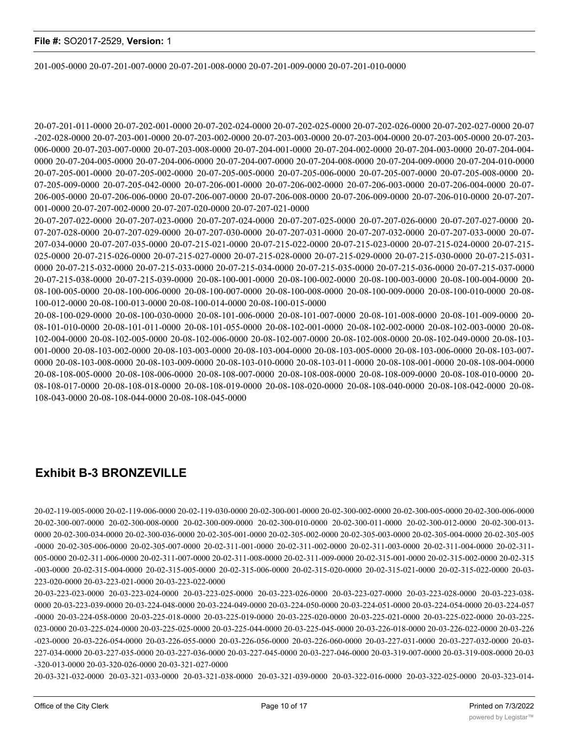201-005-0000 20-07-201-007-0000 20-07-201-008-0000 20-07-201-009-0000 20-07-201-010-0000

20-07-201-011-0000 20-07-202-001-0000 20-07-202-024-0000 20-07-202-025-0000 20-07-202-026-0000 20-07-202-027-0000 20-07 -202-028-0000 20-07-203-001-0000 20-07-203-002-0000 20-07-203-003-0000 20-07-203-004-0000 20-07-203-005-0000 20-07-203- 006-0000 20-07-203-007-0000 20-07-203-008-0000 20-07-204-001-0000 20-07-204-002-0000 20-07-204-003-0000 20-07-204-004- 0000 20-07-204-005-0000 20-07-204-006-0000 20-07-204-007-0000 20-07-204-008-0000 20-07-204-009-0000 20-07-204-010-0000 20-07-205-001-0000 20-07-205-002-0000 20-07-205-005-0000 20-07-205-006-0000 20-07-205-007-0000 20-07-205-008-0000 20- 07-205-009-0000 20-07-205-042-0000 20-07-206-001-0000 20-07-206-002-0000 20-07-206-003-0000 20-07-206-004-0000 20-07- 206-005-0000 20-07-206-006-0000 20-07-206-007-0000 20-07-206-008-0000 20-07-206-009-0000 20-07-206-010-0000 20-07-207- 001-0000 20-07-207-002-0000 20-07-207-020-0000 20-07-207-021-0000

20-07-207-022-0000 20-07-207-023-0000 20-07-207-024-0000 20-07-207-025-0000 20-07-207-026-0000 20-07-207-027-0000 20- 07-207-028-0000 20-07-207-029-0000 20-07-207-030-0000 20-07-207-031-0000 20-07-207-032-0000 20-07-207-033-0000 20-07- 207-034-0000 20-07-207-035-0000 20-07-215-021-0000 20-07-215-022-0000 20-07-215-023-0000 20-07-215-024-0000 20-07-215- 025-0000 20-07-215-026-0000 20-07-215-027-0000 20-07-215-028-0000 20-07-215-029-0000 20-07-215-030-0000 20-07-215-031- 0000 20-07-215-032-0000 20-07-215-033-0000 20-07-215-034-0000 20-07-215-035-0000 20-07-215-036-0000 20-07-215-037-0000 20-07-215-038-0000 20-07-215-039-0000 20-08-100-001-0000 20-08-100-002-0000 20-08-100-003-0000 20-08-100-004-0000 20- 08-100-005-0000 20-08-100-006-0000 20-08-100-007-0000 20-08-100-008-0000 20-08-100-009-0000 20-08-100-010-0000 20-08- 100-012-0000 20-08-100-013-0000 20-08-100-014-0000 20-08-100-015-0000

20-08-100-029-0000 20-08-100-030-0000 20-08-101-006-0000 20-08-101-007-0000 20-08-101-008-0000 20-08-101-009-0000 20- 08-101-010-0000 20-08-101-011-0000 20-08-101-055-0000 20-08-102-001-0000 20-08-102-002-0000 20-08-102-003-0000 20-08- 102-004-0000 20-08-102-005-0000 20-08-102-006-0000 20-08-102-007-0000 20-08-102-008-0000 20-08-102-049-0000 20-08-103- 001-0000 20-08-103-002-0000 20-08-103-003-0000 20-08-103-004-0000 20-08-103-005-0000 20-08-103-006-0000 20-08-103-007- 0000 20-08-103-008-0000 20-08-103-009-0000 20-08-103-010-0000 20-08-103-011-0000 20-08-108-001-0000 20-08-108-004-0000 20-08-108-005-0000 20-08-108-006-0000 20-08-108-007-0000 20-08-108-008-0000 20-08-108-009-0000 20-08-108-010-0000 20- 08-108-017-0000 20-08-108-018-0000 20-08-108-019-0000 20-08-108-020-0000 20-08-108-040-0000 20-08-108-042-0000 20-08- 108-043-0000 20-08-108-044-0000 20-08-108-045-0000

## **Exhibit B-3 BRONZEVILLE**

20-02-119-005-0000 20-02-119-006-0000 20-02-119-030-0000 20-02-300-001-0000 20-02-300-002-0000 20-02-300-005-0000 20-02-300-006-0000 20-02-300-007-0000 20-02-300-008-0000 20-02-300-009-0000 20-02-300-010-0000 20-02-300-011-0000 20-02-300-012-0000 20-02-300-013- 0000 20-02-300-034-0000 20-02-300-036-0000 20-02-305-001-0000 20-02-305-002-0000 20-02-305-003-0000 20-02-305-004-0000 20-02-305-005 -0000 20-02-305-006-0000 20-02-305-007-0000 20-02-311-001-0000 20-02-311-002-0000 20-02-311-003-0000 20-02-311-004-0000 20-02-311- 005-0000 20-02-311-006-0000 20-02-311-007-0000 20-02-311-008-0000 20-02-311-009-0000 20-02-315-001-0000 20-02-315-002-0000 20-02-315 -003-0000 20-02-315-004-0000 20-02-315-005-0000 20-02-315-006-0000 20-02-315-020-0000 20-02-315-021-0000 20-02-315-022-0000 20-03- 223-020-0000 20-03-223-021-0000 20-03-223-022-0000

20-03-223-023-0000 20-03-223-024-0000 20-03-223-025-0000 20-03-223-026-0000 20-03-223-027-0000 20-03-223-028-0000 20-03-223-038- 0000 20-03-223-039-0000 20-03-224-048-0000 20-03-224-049-0000 20-03-224-050-0000 20-03-224-051-0000 20-03-224-054-0000 20-03-224-057 -0000 20-03-224-058-0000 20-03-225-018-0000 20-03-225-019-0000 20-03-225-020-0000 20-03-225-021-0000 20-03-225-022-0000 20-03-225- 023-0000 20-03-225-024-0000 20-03-225-025-0000 20-03-225-044-0000 20-03-225-045-0000 20-03-226-018-0000 20-03-226-022-0000 20-03-226 -023-0000 20-03-226-054-0000 20-03-226-055-0000 20-03-226-056-0000 20-03-226-060-0000 20-03-227-031-0000 20-03-227-032-0000 20-03- 227-034-0000 20-03-227-035-0000 20-03-227-036-0000 20-03-227-045-0000 20-03-227-046-0000 20-03-319-007-0000 20-03-319-008-0000 20-03 -320-013-0000 20-03-320-026-0000 20-03-321-027-0000

20-03-321-032-0000 20-03-321-033-0000 20-03-321-038-0000 20-03-321-039-0000 20-03-322-016-0000 20-03-322-025-0000 20-03-323-014-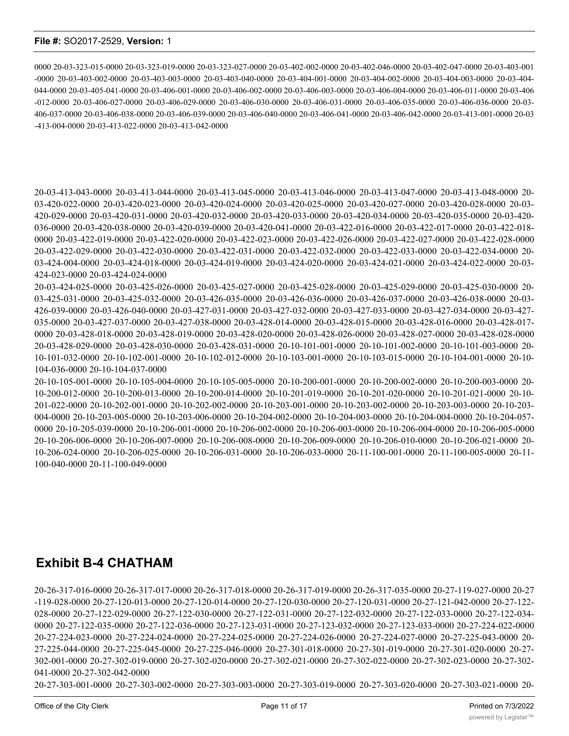0000 20-03-323-015-0000 20-03-323-019-0000 20-03-323-027-0000 20-03-402-002-0000 20-03-402-046-0000 20-03-402-047-0000 20-03-403-001 -0000 20-03-403-002-0000 20-03-403-003-0000 20-03-403-040-0000 20-03-404-001-0000 20-03-404-002-0000 20-03-404-003-0000 20-03-404- 044-0000 20-03-405-041-0000 20-03-406-001-0000 20-03-406-002-0000 20-03-406-003-0000 20-03-406-004-0000 20-03-406-011-0000 20-03-406 -012-0000 20-03-406-027-0000 20-03-406-029-0000 20-03-406-030-0000 20-03-406-031-0000 20-03-406-035-0000 20-03-406-036-0000 20-03- 406-037-0000 20-03-406-038-0000 20-03-406-039-0000 20-03-406-040-0000 20-03-406-041-0000 20-03-406-042-0000 20-03-413-001-0000 20-03 -413-004-0000 20-03-413-022-0000 20-03-413-042-0000

20-03-413-043-0000 20-03-413-044-0000 20-03-413-045-0000 20-03-413-046-0000 20-03-413-047-0000 20-03-413-048-0000 20- 03-420-022-0000 20-03-420-023-0000 20-03-420-024-0000 20-03-420-025-0000 20-03-420-027-0000 20-03-420-028-0000 20-03- 420-029-0000 20-03-420-031-0000 20-03-420-032-0000 20-03-420-033-0000 20-03-420-034-0000 20-03-420-035-0000 20-03-420- 036-0000 20-03-420-038-0000 20-03-420-039-0000 20-03-420-041-0000 20-03-422-016-0000 20-03-422-017-0000 20-03-422-018- 0000 20-03-422-019-0000 20-03-422-020-0000 20-03-422-023-0000 20-03-422-026-0000 20-03-422-027-0000 20-03-422-028-0000 20-03-422-029-0000 20-03-422-030-0000 20-03-422-031-0000 20-03-422-032-0000 20-03-422-033-0000 20-03-422-034-0000 20- 03-424-004-0000 20-03-424-018-0000 20-03-424-019-0000 20-03-424-020-0000 20-03-424-021-0000 20-03-424-022-0000 20-03- 424-023-0000 20-03-424-024-0000

20-03-424-025-0000 20-03-425-026-0000 20-03-425-027-0000 20-03-425-028-0000 20-03-425-029-0000 20-03-425-030-0000 20- 03-425-031-0000 20-03-425-032-0000 20-03-426-035-0000 20-03-426-036-0000 20-03-426-037-0000 20-03-426-038-0000 20-03- 426-039-0000 20-03-426-040-0000 20-03-427-031-0000 20-03-427-032-0000 20-03-427-033-0000 20-03-427-034-0000 20-03-427- 035-0000 20-03-427-037-0000 20-03-427-038-0000 20-03-428-014-0000 20-03-428-015-0000 20-03-428-016-0000 20-03-428-017- 0000 20-03-428-018-0000 20-03-428-019-0000 20-03-428-020-0000 20-03-428-026-0000 20-03-428-027-0000 20-03-428-028-0000 20-03-428-029-0000 20-03-428-030-0000 20-03-428-031-0000 20-10-101-001-0000 20-10-101-002-0000 20-10-101-003-0000 20- 10-101-032-0000 20-10-102-001-0000 20-10-102-012-0000 20-10-103-001-0000 20-10-103-015-0000 20-10-104-001-0000 20-10- 104-036-0000 20-10-104-037-0000

20-10-105-001-0000 20-10-105-004-0000 20-10-105-005-0000 20-10-200-001-0000 20-10-200-002-0000 20-10-200-003-0000 20- 10-200-012-0000 20-10-200-013-0000 20-10-200-014-0000 20-10-201-019-0000 20-10-201-020-0000 20-10-201-021-0000 20-10- 201-022-0000 20-10-202-001-0000 20-10-202-002-0000 20-10-203-001-0000 20-10-203-002-0000 20-10-203-003-0000 20-10-203- 004-0000 20-10-203-005-0000 20-10-203-006-0000 20-10-204-002-0000 20-10-204-003-0000 20-10-204-004-0000 20-10-204-057- 0000 20-10-205-039-0000 20-10-206-001-0000 20-10-206-002-0000 20-10-206-003-0000 20-10-206-004-0000 20-10-206-005-0000 20-10-206-006-0000 20-10-206-007-0000 20-10-206-008-0000 20-10-206-009-0000 20-10-206-010-0000 20-10-206-021-0000 20- 10-206-024-0000 20-10-206-025-0000 20-10-206-031-0000 20-10-206-033-0000 20-11-100-001-0000 20-11-100-005-0000 20-11- 100-040-0000 20-11-100-049-0000

# **Exhibit B-4 CHATHAM**

20-26-317-016-0000 20-26-317-017-0000 20-26-317-018-0000 20-26-317-019-0000 20-26-317-035-0000 20-27-119-027-0000 20-27 -119-028-0000 20-27-120-013-0000 20-27-120-014-0000 20-27-120-030-0000 20-27-120-031-0000 20-27-121-042-0000 20-27-122- 028-0000 20-27-122-029-0000 20-27-122-030-0000 20-27-122-031-0000 20-27-122-032-0000 20-27-122-033-0000 20-27-122-034- 0000 20-27-122-035-0000 20-27-122-036-0000 20-27-123-031-0000 20-27-123-032-0000 20-27-123-033-0000 20-27-224-022-0000 20-27-224-023-0000 20-27-224-024-0000 20-27-224-025-0000 20-27-224-026-0000 20-27-224-027-0000 20-27-225-043-0000 20- 27-225-044-0000 20-27-225-045-0000 20-27-225-046-0000 20-27-301-018-0000 20-27-301-019-0000 20-27-301-020-0000 20-27- 302-001-0000 20-27-302-019-0000 20-27-302-020-0000 20-27-302-021-0000 20-27-302-022-0000 20-27-302-023-0000 20-27-302- 041-0000 20-27-302-042-0000

20-27-303-001-0000 20-27-303-002-0000 20-27-303-003-0000 20-27-303-019-0000 20-27-303-020-0000 20-27-303-021-0000 20-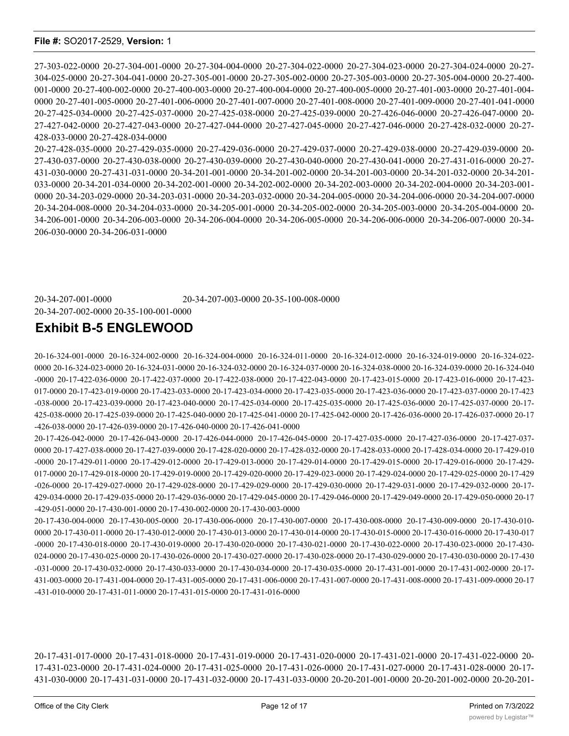27-303-022-0000 20-27-304-001-0000 20-27-304-004-0000 20-27-304-022-0000 20-27-304-023-0000 20-27-304-024-0000 20-27- 304-025-0000 20-27-304-041-0000 20-27-305-001-0000 20-27-305-002-0000 20-27-305-003-0000 20-27-305-004-0000 20-27-400- 001-0000 20-27-400-002-0000 20-27-400-003-0000 20-27-400-004-0000 20-27-400-005-0000 20-27-401-003-0000 20-27-401-004- 0000 20-27-401-005-0000 20-27-401-006-0000 20-27-401-007-0000 20-27-401-008-0000 20-27-401-009-0000 20-27-401-041-0000 20-27-425-034-0000 20-27-425-037-0000 20-27-425-038-0000 20-27-425-039-0000 20-27-426-046-0000 20-27-426-047-0000 20- 27-427-042-0000 20-27-427-043-0000 20-27-427-044-0000 20-27-427-045-0000 20-27-427-046-0000 20-27-428-032-0000 20-27- 428-033-0000 20-27-428-034-0000

20-27-428-035-0000 20-27-429-035-0000 20-27-429-036-0000 20-27-429-037-0000 20-27-429-038-0000 20-27-429-039-0000 20- 27-430-037-0000 20-27-430-038-0000 20-27-430-039-0000 20-27-430-040-0000 20-27-430-041-0000 20-27-431-016-0000 20-27- 431-030-0000 20-27-431-031-0000 20-34-201-001-0000 20-34-201-002-0000 20-34-201-003-0000 20-34-201-032-0000 20-34-201- 033-0000 20-34-201-034-0000 20-34-202-001-0000 20-34-202-002-0000 20-34-202-003-0000 20-34-202-004-0000 20-34-203-001- 0000 20-34-203-029-0000 20-34-203-031-0000 20-34-203-032-0000 20-34-204-005-0000 20-34-204-006-0000 20-34-204-007-0000 20-34-204-008-0000 20-34-204-033-0000 20-34-205-001-0000 20-34-205-002-0000 20-34-205-003-0000 20-34-205-004-0000 20- 34-206-001-0000 20-34-206-003-0000 20-34-206-004-0000 20-34-206-005-0000 20-34-206-006-0000 20-34-206-007-0000 20-34- 206-030-0000 20-34-206-031-0000

20-34-207-001-0000 20-34-207-003-0000 20-35-100-008-0000 20-34-207-002-0000 20-35-100-001-0000

## **Exhibit B-5 ENGLEWOOD**

20-16-324-001-0000 20-16-324-002-0000 20-16-324-004-0000 20-16-324-011-0000 20-16-324-012-0000 20-16-324-019-0000 20-16-324-022- 0000 20-16-324-023-0000 20-16-324-031-0000 20-16-324-032-0000 20-16-324-037-0000 20-16-324-038-0000 20-16-324-039-0000 20-16-324-040 -0000 20-17-422-036-0000 20-17-422-037-0000 20-17-422-038-0000 20-17-422-043-0000 20-17-423-015-0000 20-17-423-016-0000 20-17-423- 017-0000 20-17-423-019-0000 20-17-423-033-0000 20-17-423-034-0000 20-17-423-035-0000 20-17-423-036-0000 20-17-423-037-0000 20-17-423 -038-0000 20-17-423-039-0000 20-17-423-040-0000 20-17-425-034-0000 20-17-425-035-0000 20-17-425-036-0000 20-17-425-037-0000 20-17- 425-038-0000 20-17-425-039-0000 20-17-425-040-0000 20-17-425-041-0000 20-17-425-042-0000 20-17-426-036-0000 20-17-426-037-0000 20-17 -426-038-0000 20-17-426-039-0000 20-17-426-040-0000 20-17-426-041-0000

20-17-426-042-0000 20-17-426-043-0000 20-17-426-044-0000 20-17-426-045-0000 20-17-427-035-0000 20-17-427-036-0000 20-17-427-037- 0000 20-17-427-038-0000 20-17-427-039-0000 20-17-428-020-0000 20-17-428-032-0000 20-17-428-033-0000 20-17-428-034-0000 20-17-429-010 -0000 20-17-429-011-0000 20-17-429-012-0000 20-17-429-013-0000 20-17-429-014-0000 20-17-429-015-0000 20-17-429-016-0000 20-17-429- 017-0000 20-17-429-018-0000 20-17-429-019-0000 20-17-429-020-0000 20-17-429-023-0000 20-17-429-024-0000 20-17-429-025-0000 20-17-429 -026-0000 20-17-429-027-0000 20-17-429-028-0000 20-17-429-029-0000 20-17-429-030-0000 20-17-429-031-0000 20-17-429-032-0000 20-17- 429-034-0000 20-17-429-035-0000 20-17-429-036-0000 20-17-429-045-0000 20-17-429-046-0000 20-17-429-049-0000 20-17-429-050-0000 20-17 -429-051-0000 20-17-430-001-0000 20-17-430-002-0000 20-17-430-003-0000

20-17-430-004-0000 20-17-430-005-0000 20-17-430-006-0000 20-17-430-007-0000 20-17-430-008-0000 20-17-430-009-0000 20-17-430-010- 0000 20-17-430-011-0000 20-17-430-012-0000 20-17-430-013-0000 20-17-430-014-0000 20-17-430-015-0000 20-17-430-016-0000 20-17-430-017 -0000 20-17-430-018-0000 20-17-430-019-0000 20-17-430-020-0000 20-17-430-021-0000 20-17-430-022-0000 20-17-430-023-0000 20-17-430- 024-0000 20-17-430-025-0000 20-17-430-026-0000 20-17-430-027-0000 20-17-430-028-0000 20-17-430-029-0000 20-17-430-030-0000 20-17-430 -031-0000 20-17-430-032-0000 20-17-430-033-0000 20-17-430-034-0000 20-17-430-035-0000 20-17-431-001-0000 20-17-431-002-0000 20-17- 431-003-0000 20-17-431-004-0000 20-17-431-005-0000 20-17-431-006-0000 20-17-431-007-0000 20-17-431-008-0000 20-17-431-009-0000 20-17 -431-010-0000 20-17-431-011-0000 20-17-431-015-0000 20-17-431-016-0000

20-17-431-017-0000 20-17-431-018-0000 20-17-431-019-0000 20-17-431-020-0000 20-17-431-021-0000 20-17-431-022-0000 20- 17-431-023-0000 20-17-431-024-0000 20-17-431-025-0000 20-17-431-026-0000 20-17-431-027-0000 20-17-431-028-0000 20-17- 431-030-0000 20-17-431-031-0000 20-17-431-032-0000 20-17-431-033-0000 20-20-201-001-0000 20-20-201-002-0000 20-20-201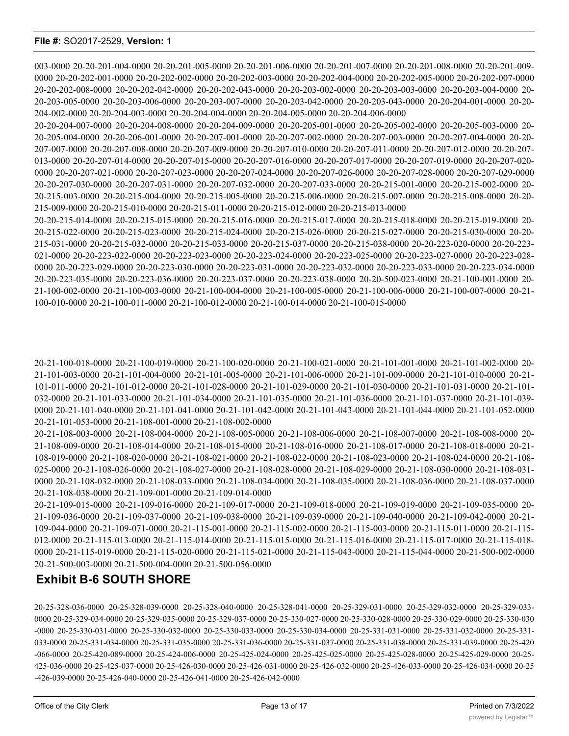003-0000 20-20-201-004-0000 20-20-201-005-0000 20-20-201-006-0000 20-20-201-007-0000 20-20-201-008-0000 20-20-201-009- 0000 20-20-202-001-0000 20-20-202-002-0000 20-20-202-003-0000 20-20-202-004-0000 20-20-202-005-0000 20-20-202-007-0000 20-20-202-008-0000 20-20-202-042-0000 20-20-202-043-0000 20-20-203-002-0000 20-20-203-003-0000 20-20-203-004-0000 20- 20-203-005-0000 20-20-203-006-0000 20-20-203-007-0000 20-20-203-042-0000 20-20-203-043-0000 20-20-204-001-0000 20-20- 204-002-0000 20-20-204-003-0000 20-20-204-004-0000 20-20-204-005-0000 20-20-204-006-0000

20-20-204-007-0000 20-20-204-008-0000 20-20-204-009-0000 20-20-205-001-0000 20-20-205-002-0000 20-20-205-003-0000 20- 215-009-0000 20-20-215-010-0000 20-20-215-011-0000 20-20-215-012-0000 20-20-215-013-0000

20-205-004-0000 20-20-206-001-0000 20-20-207-001-0000 20-20-207-002-0000 20-20-207-003-0000 20-20-207-004-0000 20-20- 207-007-0000 20-20-207-008-0000 20-20-207-009-0000 20-20-207-010-0000 20-20-207-011-0000 20-20-207-012-0000 20-20-207- 013-0000 20-20-207-014-0000 20-20-207-015-0000 20-20-207-016-0000 20-20-207-017-0000 20-20-207-019-0000 20-20-207-020- 0000 20-20-207-021-0000 20-20-207-023-0000 20-20-207-024-0000 20-20-207-026-0000 20-20-207-028-0000 20-20-207-029-0000 20-20-207-030-0000 20-20-207-031-0000 20-20-207-032-0000 20-20-207-033-0000 20-20-215-001-0000 20-20-215-002-0000 20- 20-215-003-0000 20-20-215-004-0000 20-20-215-005-0000 20-20-215-006-0000 20-20-215-007-0000 20-20-215-008-0000 20-20-

20-20-215-014-0000 20-20-215-015-0000 20-20-215-016-0000 20-20-215-017-0000 20-20-215-018-0000 20-20-215-019-0000 20- 20-215-022-0000 20-20-215-023-0000 20-20-215-024-0000 20-20-215-026-0000 20-20-215-027-0000 20-20-215-030-0000 20-20- 215-031-0000 20-20-215-032-0000 20-20-215-033-0000 20-20-215-037-0000 20-20-215-038-0000 20-20-223-020-0000 20-20-223- 021-0000 20-20-223-022-0000 20-20-223-023-0000 20-20-223-024-0000 20-20-223-025-0000 20-20-223-027-0000 20-20-223-028-

0000 20-20-223-029-0000 20-20-223-030-0000 20-20-223-031-0000 20-20-223-032-0000 20-20-223-033-0000 20-20-223-034-0000 20-20-223-035-0000 20-20-223-036-0000 20-20-223-037-0000 20-20-223-038-0000 20-20-500-023-0000 20-21-100-001-0000 20- 21-100-002-0000 20-21-100-003-0000 20-21-100-004-0000 20-21-100-005-0000 20-21-100-006-0000 20-21-100-007-0000 20-21-

20-21-100-018-0000 20-21-100-019-0000 20-21-100-020-0000 20-21-100-021-0000 20-21-101-001-0000 20-21-101-002-0000 20- 21-101-003-0000 20-21-101-004-0000 20-21-101-005-0000 20-21-101-006-0000 20-21-101-009-0000 20-21-101-010-0000 20-21- 101-011-0000 20-21-101-012-0000 20-21-101-028-0000 20-21-101-029-0000 20-21-101-030-0000 20-21-101-031-0000 20-21-101- 032-0000 20-21-101-033-0000 20-21-101-034-0000 20-21-101-035-0000 20-21-101-036-0000 20-21-101-037-0000 20-21-101-039- 0000 20-21-101-040-0000 20-21-101-041-0000 20-21-101-042-0000 20-21-101-043-0000 20-21-101-044-0000 20-21-101-052-0000

100-010-0000 20-21-100-011-0000 20-21-100-012-0000 20-21-100-014-0000 20-21-100-015-0000

20-21-108-003-0000 20-21-108-004-0000 20-21-108-005-0000 20-21-108-006-0000 20-21-108-007-0000 20-21-108-008-0000 20- 21-108-009-0000 20-21-108-014-0000 20-21-108-015-0000 20-21-108-016-0000 20-21-108-017-0000 20-21-108-018-0000 20-21- 108-019-0000 20-21-108-020-0000 20-21-108-021-0000 20-21-108-022-0000 20-21-108-023-0000 20-21-108-024-0000 20-21-108- 025-0000 20-21-108-026-0000 20-21-108-027-0000 20-21-108-028-0000 20-21-108-029-0000 20-21-108-030-0000 20-21-108-031- 0000 20-21-108-032-0000 20-21-108-033-0000 20-21-108-034-0000 20-21-108-035-0000 20-21-108-036-0000 20-21-108-037-0000 20-21-108-038-0000 20-21-109-001-0000 20-21-109-014-0000 20-21-109-015-0000 20-21-109-016-0000 20-21-109-017-0000 20-21-109-018-0000 20-21-109-019-0000 20-21-109-035-0000 20-

21-109-036-0000 20-21-109-037-0000 20-21-109-038-0000 20-21-109-039-0000 20-21-109-040-0000 20-21-109-042-0000 20-21- 109-044-0000 20-21-109-071-0000 20-21-115-001-0000 20-21-115-002-0000 20-21-115-003-0000 20-21-115-011-0000 20-21-115- 012-0000 20-21-115-013-0000 20-21-115-014-0000 20-21-115-015-0000 20-21-115-016-0000 20-21-115-017-0000 20-21-115-018- 0000 20-21-115-019-0000 20-21-115-020-0000 20-21-115-021-0000 20-21-115-043-0000 20-21-115-044-0000 20-21-500-002-0000 20-21-500-003-0000 20-21-500-004-0000 20-21-500-056-0000

## **Exhibit B-6 SOUTH SHORE**

20-21-101-053-0000 20-21-108-001-0000 20-21-108-002-0000

20-25-328-036-0000 20-25-328-039-0000 20-25-328-040-0000 20-25-328-041-0000 20-25-329-031-0000 20-25-329-032-0000 20-25-329-033- 0000 20-25-329-034-0000 20-25-329-035-0000 20-25-329-037-0000 20-25-330-027-0000 20-25-330-028-0000 20-25-330-029-0000 20-25-330-030 -0000 20-25-330-031-0000 20-25-330-032-0000 20-25-330-033-0000 20-25-330-034-0000 20-25-331-031-0000 20-25-331-032-0000 20-25-331- 033-0000 20-25-331-034-0000 20-25-331-035-0000 20-25-331-036-0000 20-25-331-037-0000 20-25-331-038-0000 20-25-331-039-0000 20-25-420 -066-0000 20-25-420-089-0000 20-25-424-006-0000 20-25-425-024-0000 20-25-425-025-0000 20-25-425-028-0000 20-25-425-029-0000 20-25- 425-036-0000 20-25-425-037-0000 20-25-426-030-0000 20-25-426-031-0000 20-25-426-032-0000 20-25-426-033-0000 20-25-426-034-0000 20-25 -426-039-0000 20-25-426-040-0000 20-25-426-041-0000 20-25-426-042-0000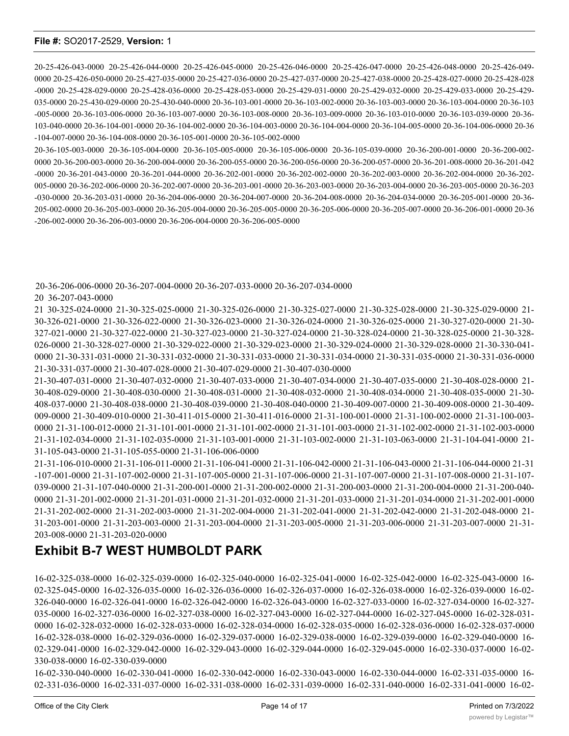20-25-426-043-0000 20-25-426-044-0000 20-25-426-045-0000 20-25-426-046-0000 20-25-426-047-0000 20-25-426-048-0000 20-25-426-049- 0000 20-25-426-050-0000 20-25-427-035-0000 20-25-427-036-0000 20-25-427-037-0000 20-25-427-038-0000 20-25-428-027-0000 20-25-428-028 -0000 20-25-428-029-0000 20-25-428-036-0000 20-25-428-053-0000 20-25-429-031-0000 20-25-429-032-0000 20-25-429-033-0000 20-25-429- 035-0000 20-25-430-029-0000 20-25-430-040-0000 20-36-103-001-0000 20-36-103-002-0000 20-36-103-003-0000 20-36-103-004-0000 20-36-103 -005-0000 20-36-103-006-0000 20-36-103-007-0000 20-36-103-008-0000 20-36-103-009-0000 20-36-103-010-0000 20-36-103-039-0000 20-36- 103-040-0000 20-36-104-001-0000 20-36-104-002-0000 20-36-104-003-0000 20-36-104-004-0000 20-36-104-005-0000 20-36-104-006-0000 20-36 -104-007-0000 20-36-104-008-0000 20-36-105-001-0000 20-36-105-002-0000

20-36-105-003-0000 20-36-105-004-0000 20-36-105-005-0000 20-36-105-006-0000 20-36-105-039-0000 20-36-200-001-0000 20-36-200-002- 0000 20-36-200-003-0000 20-36-200-004-0000 20-36-200-055-0000 20-36-200-056-0000 20-36-200-057-0000 20-36-201-008-0000 20-36-201-042 -0000 20-36-201-043-0000 20-36-201-044-0000 20-36-202-001-0000 20-36-202-002-0000 20-36-202-003-0000 20-36-202-004-0000 20-36-202- 005-0000 20-36-202-006-0000 20-36-202-007-0000 20-36-203-001-0000 20-36-203-003-0000 20-36-203-004-0000 20-36-203-005-0000 20-36-203 -030-0000 20-36-203-031-0000 20-36-204-006-0000 20-36-204-007-0000 20-36-204-008-0000 20-36-204-034-0000 20-36-205-001-0000 20-36- 205-002-0000 20-36-205-003-0000 20-36-205-004-0000 20-36-205-005-0000 20-36-205-006-0000 20-36-205-007-0000 20-36-206-001-0000 20-36 -206-002-0000 20-36-206-003-0000 20-36-206-004-0000 20-36-206-005-0000

20-36-206-006-0000 20-36-207-004-0000 20-36-207-033-0000 20-36-207-034-0000

20 36-207-043-0000

21 30-325-024-0000 21-30-325-025-0000 21-30-325-026-0000 21-30-325-027-0000 21-30-325-028-0000 21-30-325-029-0000 21- 30-326-021-0000 21-30-326-022-0000 21-30-326-023-0000 21-30-326-024-0000 21-30-326-025-0000 21-30-327-020-0000 21-30- 327-021-0000 21-30-327-022-0000 21-30-327-023-0000 21-30-327-024-0000 21-30-328-024-0000 21-30-328-025-0000 21-30-328- 026-0000 21-30-328-027-0000 21-30-329-022-0000 21-30-329-023-0000 21-30-329-024-0000 21-30-329-028-0000 21-30-330-041- 0000 21-30-331-031-0000 21-30-331-032-0000 21-30-331-033-0000 21-30-331-034-0000 21-30-331-035-0000 21-30-331-036-0000 21-30-331-037-0000 21-30-407-028-0000 21-30-407-029-0000 21-30-407-030-0000

21-30-407-031-0000 21-30-407-032-0000 21-30-407-033-0000 21-30-407-034-0000 21-30-407-035-0000 21-30-408-028-0000 21- 30-408-029-0000 21-30-408-030-0000 21-30-408-031-0000 21-30-408-032-0000 21-30-408-034-0000 21-30-408-035-0000 21-30- 408-037-0000 21-30-408-038-0000 21-30-408-039-0000 21-30-408-040-0000 21-30-409-007-0000 21-30-409-008-0000 21-30-409- 009-0000 21-30-409-010-0000 21-30-411-015-0000 21-30-411-016-0000 21-31-100-001-0000 21-31-100-002-0000 21-31-100-003- 0000 21-31-100-012-0000 21-31-101-001-0000 21-31-101-002-0000 21-31-101-003-0000 21-31-102-002-0000 21-31-102-003-0000 21-31-102-034-0000 21-31-102-035-0000 21-31-103-001-0000 21-31-103-002-0000 21-31-103-063-0000 21-31-104-041-0000 21- 31-105-043-0000 21-31-105-055-0000 21-31-106-006-0000

21-31-106-010-0000 21-31-106-011-0000 21-31-106-041-0000 21-31-106-042-0000 21-31-106-043-0000 21-31-106-044-0000 21-31 -107-001-0000 21-31-107-002-0000 21-31-107-005-0000 21-31-107-006-0000 21-31-107-007-0000 21-31-107-008-0000 21-31-107- 039-0000 21-31-107-040-0000 21-31-200-001-0000 21-31-200-002-0000 21-31-200-003-0000 21-31-200-004-0000 21-31-200-040- 0000 21-31-201-002-0000 21-31-201-031-0000 21-31-201-032-0000 21-31-201-033-0000 21-31-201-034-0000 21-31-202-001-0000 21-31-202-002-0000 21-31-202-003-0000 21-31-202-004-0000 21-31-202-041-0000 21-31-202-042-0000 21-31-202-048-0000 21- 31-203-001-0000 21-31-203-003-0000 21-31-203-004-0000 21-31-203-005-0000 21-31-203-006-0000 21-31-203-007-0000 21-31- 203-008-0000 21-31-203-020-0000

# **Exhibit B-7 WEST HUMBOLDT PARK**

16-02-325-038-0000 16-02-325-039-0000 16-02-325-040-0000 16-02-325-041-0000 16-02-325-042-0000 16-02-325-043-0000 16- 02-325-045-0000 16-02-326-035-0000 16-02-326-036-0000 16-02-326-037-0000 16-02-326-038-0000 16-02-326-039-0000 16-02- 326-040-0000 16-02-326-041-0000 16-02-326-042-0000 16-02-326-043-0000 16-02-327-033-0000 16-02-327-034-0000 16-02-327- 035-0000 16-02-327-036-0000 16-02-327-038-0000 16-02-327-043-0000 16-02-327-044-0000 16-02-327-045-0000 16-02-328-031- 0000 16-02-328-032-0000 16-02-328-033-0000 16-02-328-034-0000 16-02-328-035-0000 16-02-328-036-0000 16-02-328-037-0000 16-02-328-038-0000 16-02-329-036-0000 16-02-329-037-0000 16-02-329-038-0000 16-02-329-039-0000 16-02-329-040-0000 16- 02-329-041-0000 16-02-329-042-0000 16-02-329-043-0000 16-02-329-044-0000 16-02-329-045-0000 16-02-330-037-0000 16-02- 330-038-0000 16-02-330-039-0000

16-02-330-040-0000 16-02-330-041-0000 16-02-330-042-0000 16-02-330-043-0000 16-02-330-044-0000 16-02-331-035-0000 16- 02-331-036-0000 16-02-331-037-0000 16-02-331-038-0000 16-02-331-039-0000 16-02-331-040-0000 16-02-331-041-0000 16-02-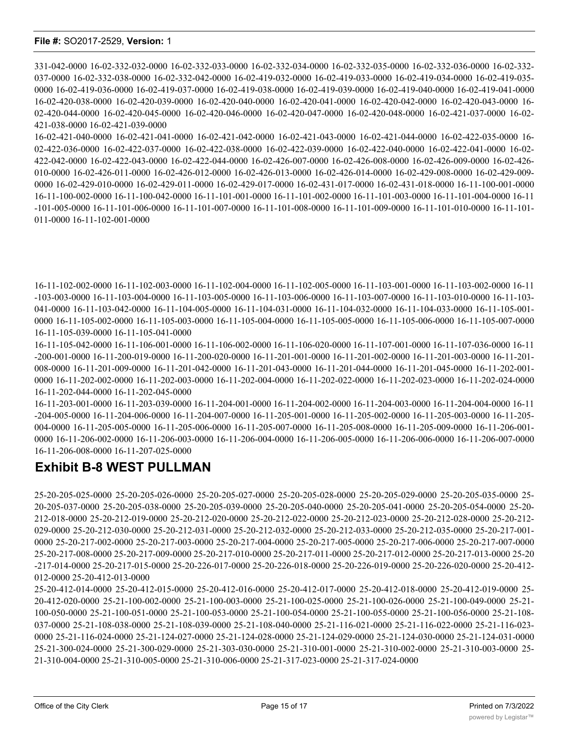331-042-0000 16-02-332-032-0000 16-02-332-033-0000 16-02-332-034-0000 16-02-332-035-0000 16-02-332-036-0000 16-02-332- 037-0000 16-02-332-038-0000 16-02-332-042-0000 16-02-419-032-0000 16-02-419-033-0000 16-02-419-034-0000 16-02-419-035- 0000 16-02-419-036-0000 16-02-419-037-0000 16-02-419-038-0000 16-02-419-039-0000 16-02-419-040-0000 16-02-419-041-0000 16-02-420-038-0000 16-02-420-039-0000 16-02-420-040-0000 16-02-420-041-0000 16-02-420-042-0000 16-02-420-043-0000 16- 02-420-044-0000 16-02-420-045-0000 16-02-420-046-0000 16-02-420-047-0000 16-02-420-048-0000 16-02-421-037-0000 16-02- 421-038-0000 16-02-421-039-0000

16-02-421-040-0000 16-02-421-041-0000 16-02-421-042-0000 16-02-421-043-0000 16-02-421-044-0000 16-02-422-035-0000 16- 02-422-036-0000 16-02-422-037-0000 16-02-422-038-0000 16-02-422-039-0000 16-02-422-040-0000 16-02-422-041-0000 16-02- 422-042-0000 16-02-422-043-0000 16-02-422-044-0000 16-02-426-007-0000 16-02-426-008-0000 16-02-426-009-0000 16-02-426- 010-0000 16-02-426-011-0000 16-02-426-012-0000 16-02-426-013-0000 16-02-426-014-0000 16-02-429-008-0000 16-02-429-009- 0000 16-02-429-010-0000 16-02-429-011-0000 16-02-429-017-0000 16-02-431-017-0000 16-02-431-018-0000 16-11-100-001-0000 16-11-100-002-0000 16-11-100-042-0000 16-11-101-001-0000 16-11-101-002-0000 16-11-101-003-0000 16-11-101-004-0000 16-11 -101-005-0000 16-11-101-006-0000 16-11-101-007-0000 16-11-101-008-0000 16-11-101-009-0000 16-11-101-010-0000 16-11-101- 011-0000 16-11-102-001-0000

16-11-102-002-0000 16-11-102-003-0000 16-11-102-004-0000 16-11-102-005-0000 16-11-103-001-0000 16-11-103-002-0000 16-11 -103-003-0000 16-11-103-004-0000 16-11-103-005-0000 16-11-103-006-0000 16-11-103-007-0000 16-11-103-010-0000 16-11-103- 041-0000 16-11-103-042-0000 16-11-104-005-0000 16-11-104-031-0000 16-11-104-032-0000 16-11-104-033-0000 16-11-105-001- 0000 16-11-105-002-0000 16-11-105-003-0000 16-11-105-004-0000 16-11-105-005-0000 16-11-105-006-0000 16-11-105-007-0000 16-11-105-039-0000 16-11-105-041-0000

16-11-105-042-0000 16-11-106-001-0000 16-11-106-002-0000 16-11-106-020-0000 16-11-107-001-0000 16-11-107-036-0000 16-11 -200-001-0000 16-11-200-019-0000 16-11-200-020-0000 16-11-201-001-0000 16-11-201-002-0000 16-11-201-003-0000 16-11-201- 008-0000 16-11-201-009-0000 16-11-201-042-0000 16-11-201-043-0000 16-11-201-044-0000 16-11-201-045-0000 16-11-202-001- 0000 16-11-202-002-0000 16-11-202-003-0000 16-11-202-004-0000 16-11-202-022-0000 16-11-202-023-0000 16-11-202-024-0000 16-11-202-044-0000 16-11-202-045-0000

16-11-203-001-0000 16-11-203-039-0000 16-11-204-001-0000 16-11-204-002-0000 16-11-204-003-0000 16-11-204-004-0000 16-11 -204-005-0000 16-11-204-006-0000 16-11-204-007-0000 16-11-205-001-0000 16-11-205-002-0000 16-11-205-003-0000 16-11-205- 004-0000 16-11-205-005-0000 16-11-205-006-0000 16-11-205-007-0000 16-11-205-008-0000 16-11-205-009-0000 16-11-206-001- 0000 16-11-206-002-0000 16-11-206-003-0000 16-11-206-004-0000 16-11-206-005-0000 16-11-206-006-0000 16-11-206-007-0000 16-11-206-008-0000 16-11-207-025-0000

# **Exhibit B-8 WEST PULLMAN**

25-20-205-025-0000 25-20-205-026-0000 25-20-205-027-0000 25-20-205-028-0000 25-20-205-029-0000 25-20-205-035-0000 25- 20-205-037-0000 25-20-205-038-0000 25-20-205-039-0000 25-20-205-040-0000 25-20-205-041-0000 25-20-205-054-0000 25-20- 212-018-0000 25-20-212-019-0000 25-20-212-020-0000 25-20-212-022-0000 25-20-212-023-0000 25-20-212-028-0000 25-20-212- 029-0000 25-20-212-030-0000 25-20-212-031-0000 25-20-212-032-0000 25-20-212-033-0000 25-20-212-035-0000 25-20-217-001- 0000 25-20-217-002-0000 25-20-217-003-0000 25-20-217-004-0000 25-20-217-005-0000 25-20-217-006-0000 25-20-217-007-0000 25-20-217-008-0000 25-20-217-009-0000 25-20-217-010-0000 25-20-217-011-0000 25-20-217-012-0000 25-20-217-013-0000 25-20 -217-014-0000 25-20-217-015-0000 25-20-226-017-0000 25-20-226-018-0000 25-20-226-019-0000 25-20-226-020-0000 25-20-412- 012-0000 25-20-412-013-0000

25-20-412-014-0000 25-20-412-015-0000 25-20-412-016-0000 25-20-412-017-0000 25-20-412-018-0000 25-20-412-019-0000 25- 20-412-020-0000 25-21-100-002-0000 25-21-100-003-0000 25-21-100-025-0000 25-21-100-026-0000 25-21-100-049-0000 25-21- 100-050-0000 25-21-100-051-0000 25-21-100-053-0000 25-21-100-054-0000 25-21-100-055-0000 25-21-100-056-0000 25-21-108- 037-0000 25-21-108-038-0000 25-21-108-039-0000 25-21-108-040-0000 25-21-116-021-0000 25-21-116-022-0000 25-21-116-023- 0000 25-21-116-024-0000 25-21-124-027-0000 25-21-124-028-0000 25-21-124-029-0000 25-21-124-030-0000 25-21-124-031-0000 25-21-300-024-0000 25-21-300-029-0000 25-21-303-030-0000 25-21-310-001-0000 25-21-310-002-0000 25-21-310-003-0000 25- 21-310-004-0000 25-21-310-005-0000 25-21-310-006-0000 25-21-317-023-0000 25-21-317-024-0000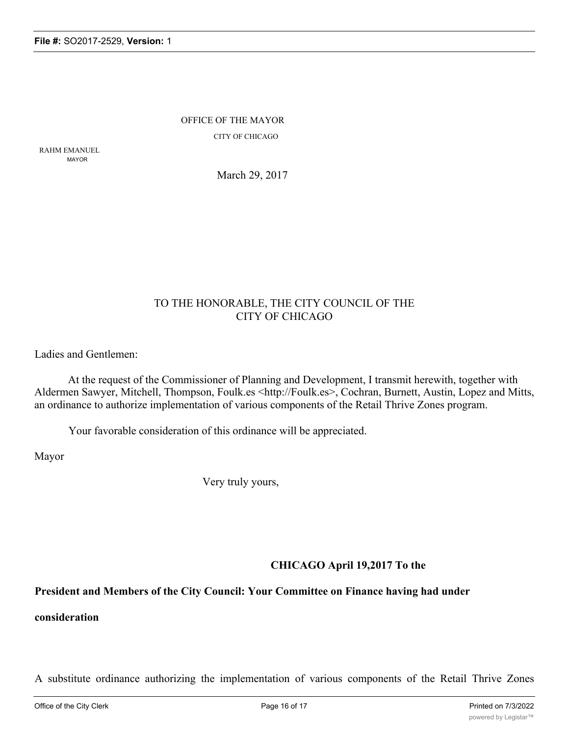OFFICE OF THE MAYOR CITY OF CHICAGO

RAHM EMANUEL MAYOR

March 29, 2017

## TO THE HONORABLE, THE CITY COUNCIL OF THE CITY OF CHICAGO

Ladies and Gentlemen:

At the request of the Commissioner of Planning and Development, I transmit herewith, together with Aldermen Sawyer, Mitchell, Thompson, Foulk.es <http://Foulk.es>, Cochran, Burnett, Austin, Lopez and Mitts, an ordinance to authorize implementation of various components of the Retail Thrive Zones program.

Your favorable consideration of this ordinance will be appreciated.

Mayor

Very truly yours,

**CHICAGO April 19,2017 To the**

### **President and Members of the City Council: Your Committee on Finance having had under**

**consideration**

A substitute ordinance authorizing the implementation of various components of the Retail Thrive Zones